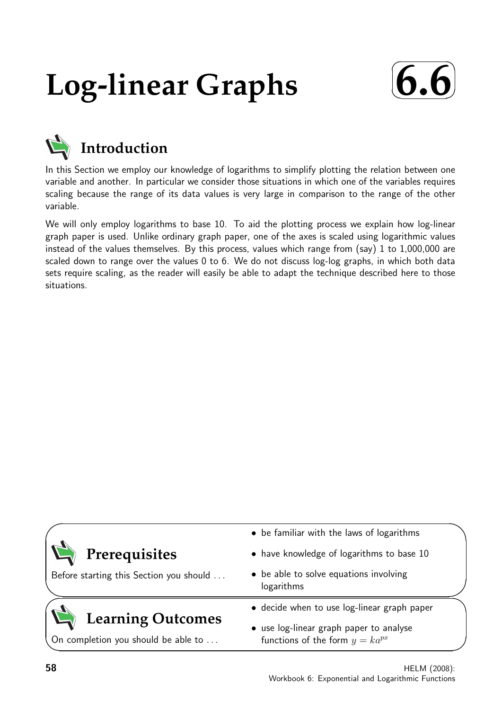# **Log-linear Graphs**





# **Introduction**

In this Section we employ our knowledge of logarithms to simplify plotting the relation between one variable and another. In particular we consider those situations in which one of the variables requires scaling because the range of its data values is very large in comparison to the range of the other variable.

We will only employ logarithms to base 10. To aid the plotting process we explain how log-linear graph paper is used. Unlike ordinary graph paper, one of the axes is scaled using logarithmic values instead of the values themselves. By this process, values which range from (say) 1 to 1,000,000 are scaled down to range over the values 0 to 6. We do not discuss log-log graphs, in which both data sets require scaling, as the reader will easily be able to adapt the technique described here to those situations.

|                                                                 | • be familiar with the laws of logarithms                                      |
|-----------------------------------------------------------------|--------------------------------------------------------------------------------|
| Prerequisites                                                   | • have knowledge of logarithms to base 10                                      |
| Before starting this Section you should                         | • be able to solve equations involving<br>logarithms                           |
|                                                                 | • decide when to use log-linear graph paper                                    |
| <b>Learning Outcomes</b><br>On completion you should be able to | • use log-linear graph paper to analyse<br>functions of the form $y = ka^{px}$ |

 $\overline{\phantom{0}}$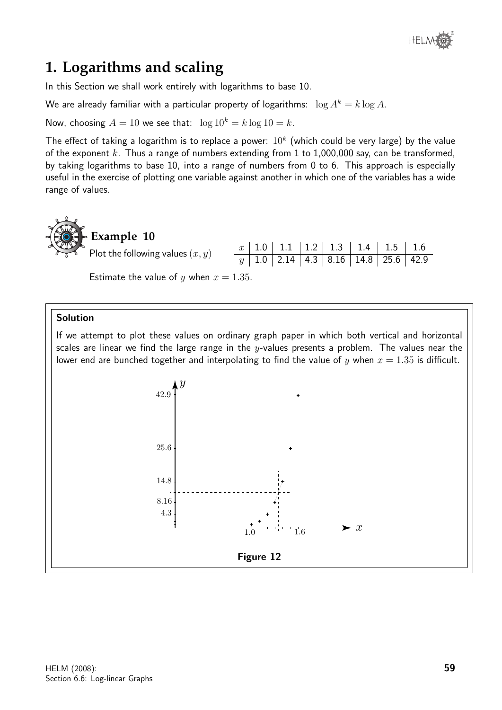

# **1. Logarithms and scaling**

In this Section we shall work entirely with logarithms to base 10.

We are already familiar with a particular property of logarithms:  $\log A^k = k \log A$ .

Now, choosing  $A = 10$  we see that:  $\log 10^k = k \log 10 = k$ .

The effect of taking a logarithm is to replace a power:  $10^k$  (which could be very large) by the value of the exponent k. Thus a range of numbers extending from 1 to 1,000,000 say, can be transformed, by taking logarithms to base 10, into a range of numbers from 0 to 6. This approach is especially useful in the exercise of plotting one variable against another in which one of the variables has a wide range of values.



Estimate the value of y when  $x = 1.35$ .

#### Solution

If we attempt to plot these values on ordinary graph paper in which both vertical and horizontal scales are linear we find the large range in the y-values presents a problem. The values near the lower end are bunched together and interpolating to find the value of y when  $x = 1.35$  is difficult.

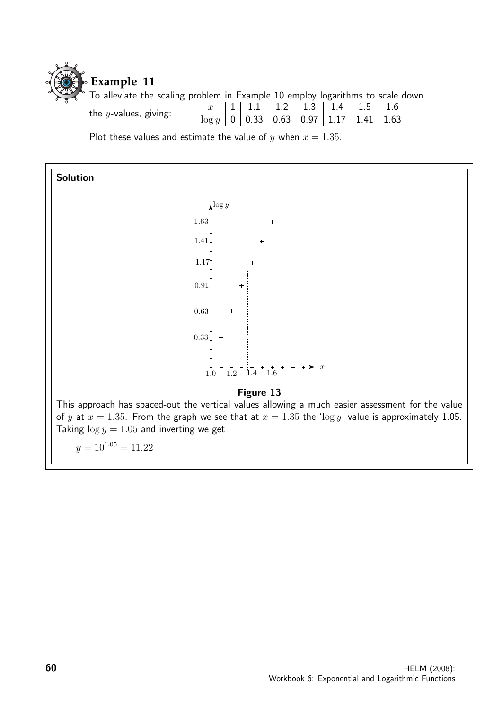

To alleviate the scaling problem in Example 10 employ logarithms to scale down the <sup>y</sup>-values, giving: <sup>x</sup> <sup>1</sup> 1.1 1.2 1.3 1.4 1.5 1.6  $\log y$  0 0.33 0.63 0.97 1.17 1.41 1.63

Plot these values and estimate the value of y when  $x = 1.35$ .

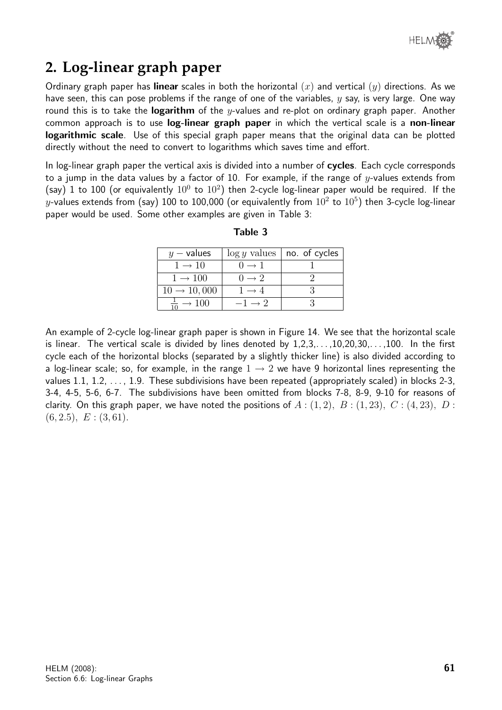

# **2. Log-linear graph paper**

Ordinary graph paper has linear scales in both the horizontal  $(x)$  and vertical  $(y)$  directions. As we have seen, this can pose problems if the range of one of the variables,  $y$  say, is very large. One way round this is to take the **logarithm** of the y-values and re-plot on ordinary graph paper. Another common approach is to use **log-linear graph paper** in which the vertical scale is a **non-linear** logarithmic scale. Use of this special graph paper means that the original data can be plotted directly without the need to convert to logarithms which saves time and effort.

In log-linear graph paper the vertical axis is divided into a number of **cycles**. Each cycle corresponds to a jump in the data values by a factor of 10. For example, if the range of y-values extends from (say) 1 to 100 (or equivalently  $10^0$  to  $10^2$ ) then 2-cycle log-linear paper would be required. If the  $y$ -values extends from (say) 100 to 100,000 (or equivalently from  $10^2$  to  $10^5)$  then 3-cycle log-linear paper would be used. Some other examples are given in Table 3:

| $y$ – values            |                    | $\log y$ values   no. of cycles |
|-------------------------|--------------------|---------------------------------|
| $1 \rightarrow 10$      | $() \rightarrow 1$ |                                 |
| $1 \rightarrow 100$     | $0 \rightarrow 2$  |                                 |
| $10 \rightarrow 10,000$ | $1 \rightarrow 4$  |                                 |
|                         | $-1 \rightarrow 2$ |                                 |

Table 3

An example of 2-cycle log-linear graph paper is shown in Figure 14. We see that the horizontal scale is linear. The vertical scale is divided by lines denoted by  $1,2,3,\ldots,10,20,30,\ldots,100$ . In the first cycle each of the horizontal blocks (separated by a slightly thicker line) is also divided according to a log-linear scale; so, for example, in the range  $1 \rightarrow 2$  we have 9 horizontal lines representing the values 1.1, 1.2,  $\dots$ , 1.9. These subdivisions have been repeated (appropriately scaled) in blocks 2-3, 3-4, 4-5, 5-6, 6-7. The subdivisions have been omitted from blocks 7-8, 8-9, 9-10 for reasons of clarity. On this graph paper, we have noted the positions of  $A$ :  $(1, 2)$ ,  $B$ :  $(1, 23)$ ,  $C$ :  $(4, 23)$ ,  $D$ :  $(6, 2.5), E: (3, 61).$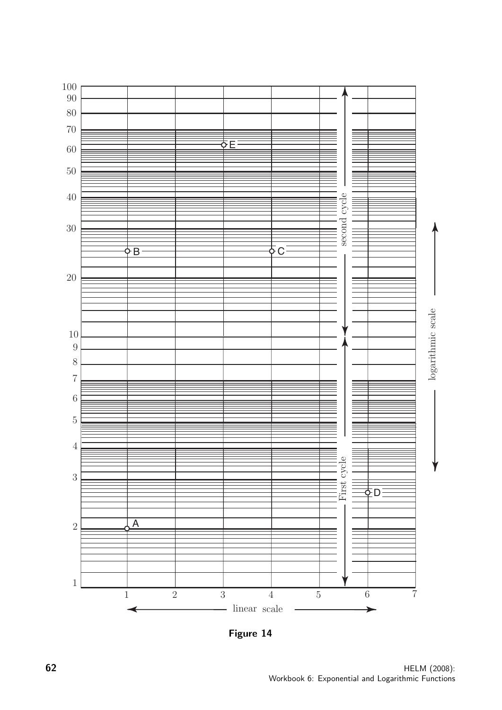

Figure 14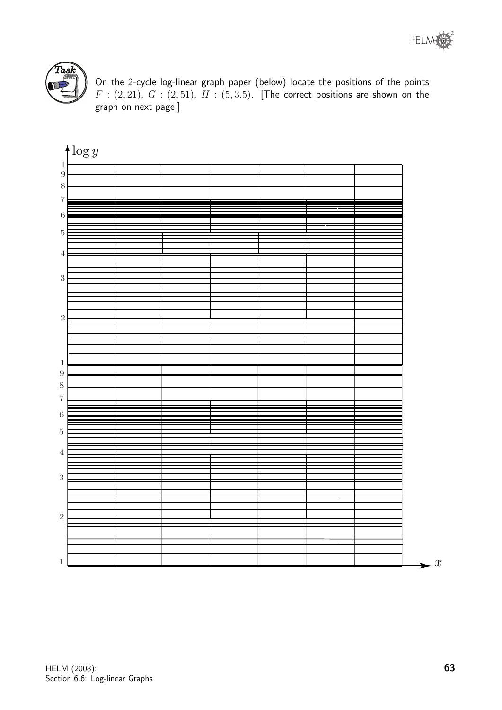



On the 2-cycle log-linear graph paper (below) locate the positions of the points  $F : (2, 21), G : (2, 51), H : (5, 3.5).$  [The correct positions are shown on the graph on next page.]

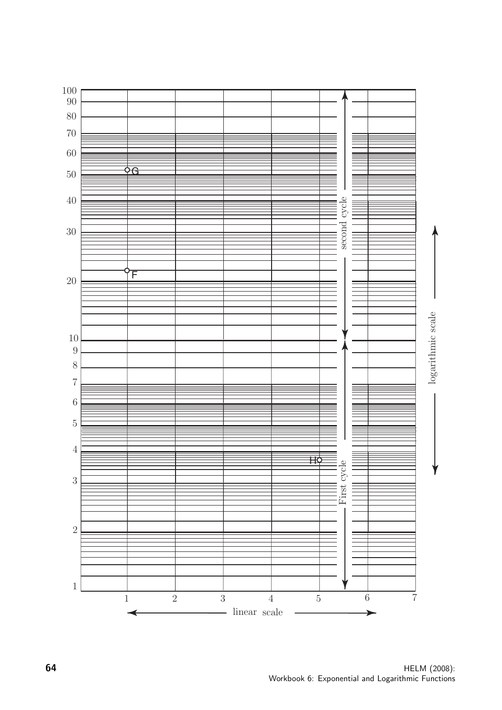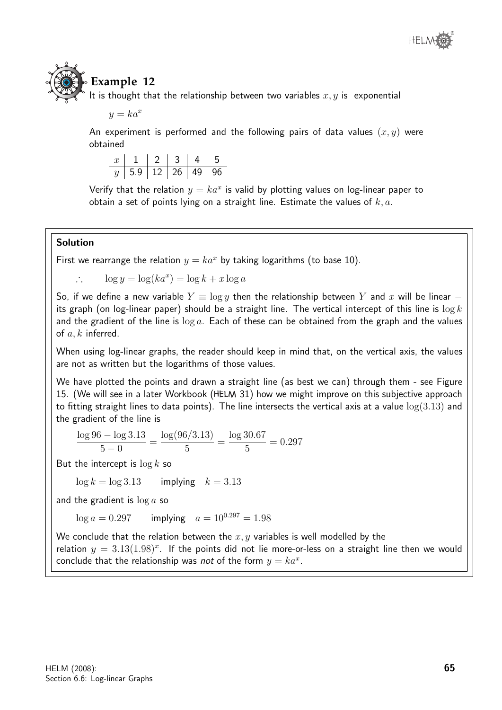

# **Example 12**

It is thought that the relationship between two variables  $x, y$  is exponential

 $y = ka^x$ 

An experiment is performed and the following pairs of data values  $(x, y)$  were obtained

|  |                                  | 2 3 1 |  |
|--|----------------------------------|-------|--|
|  | $\eta$   5.9   12   26   49   96 |       |  |

Verify that the relation  $y = ka^x$  is valid by plotting values on log-linear paper to obtain a set of points lying on a straight line. Estimate the values of  $k, a$ .

## Solution

First we rearrange the relation  $y = ka^x$  by taking logarithms (to base 10).

 $\log y = \log(ka^x) = \log k + x \log a$ 

So, if we define a new variable  $Y \equiv \log y$  then the relationship between Y and x will be linear – its graph (on log-linear paper) should be a straight line. The vertical intercept of this line is  $\log k$ and the gradient of the line is  $\log a$ . Each of these can be obtained from the graph and the values of  $a, k$  inferred.

When using log-linear graphs, the reader should keep in mind that, on the vertical axis, the values are not as written but the logarithms of those values.

We have plotted the points and drawn a straight line (as best we can) through them - see Figure 15. (We will see in a later Workbook (HELM 31) how we might improve on this subjective approach to fitting straight lines to data points). The line intersects the vertical axis at a value  $log(3.13)$  and the gradient of the line is

$$
\frac{\log 96 - \log 3.13}{5 - 0} = \frac{\log (96/3.13)}{5} = \frac{\log 30.67}{5} = 0.297
$$

But the intercept is  $\log k$  so

 $\log k = \log 3.13$  implying  $k = 3.13$ 

and the gradient is  $\log a$  so

 $\log a = 0.297$  implying  $a = 10^{0.297} = 1.98$ 

We conclude that the relation between the  $x, y$  variables is well modelled by the

relation  $y = 3.13(1.98)^x$ . If the points did not lie more-or-less on a straight line then we would conclude that the relationship was not of the form  $y = ka^x$ .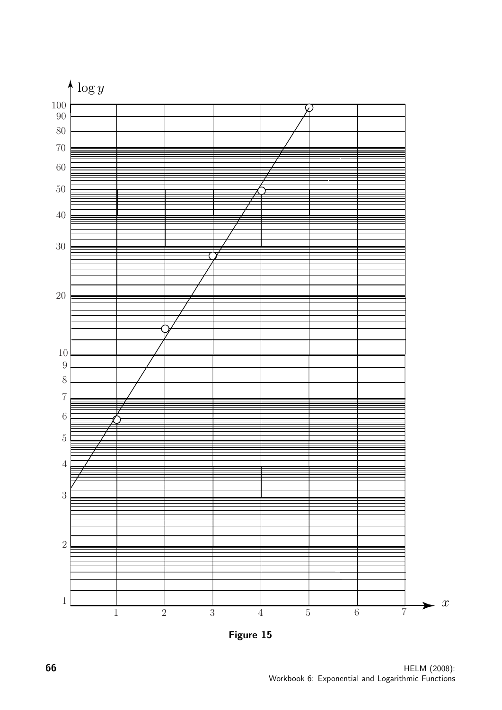

Figure 15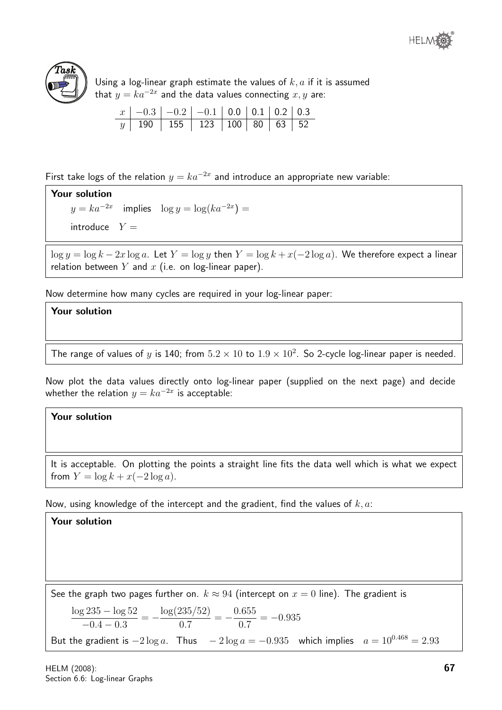



Using a log-linear graph estimate the values of  $k, a$  if it is assumed that  $y=ka^{-2x}$  and the data values connecting  $x,y$  are:

| $x \mid -0.3 \mid -0.2 \mid -0.1 \mid 0.0 \mid 0.1 \mid 0.2 \mid 0.3$ |  |  |  |
|-----------------------------------------------------------------------|--|--|--|
| y 190 155 123 100 80 63 52                                            |  |  |  |

First take logs of the relation  $y = ka^{-2x}$  and introduce an appropriate new variable:

# Your solution

 $y = ka^{-2x}$  implies  $\log y = \log(ka^{-2x}) =$ 

introduce  $Y =$ 

 $\log y = \log k - 2x \log a$ . Let  $Y = \log y$  then  $Y = \log k + x(-2 \log a)$ . We therefore expect a linear relation between Y and  $x$  (i.e. on log-linear paper).

Now determine how many cycles are required in your log-linear paper:

## Your solution

The range of values of y is 140; from  $5.2 \times 10$  to  $1.9 \times 10^2$ . So 2-cycle log-linear paper is needed.

Now plot the data values directly onto log-linear paper (supplied on the next page) and decide whether the relation  $y = ka^{-2x}$  is acceptable:

## Your solution

It is acceptable. On plotting the points a straight line fits the data well which is what we expect from  $Y = \log k + x(-2 \log a)$ .

Now, using knowledge of the intercept and the gradient, find the values of  $k, a$ :

## Your solution

See the graph two pages further on.  $k \approx 94$  (intercept on  $x = 0$  line). The gradient is log 235 − log 52  $-0.4 - 0.3$  $=-\frac{\log(235/52)}{27}$ 0.7  $=-\frac{0.655}{2.5}$ 0.7  $=-0.935$ But the gradient is  $-2 \log a$ . Thus  $-2 \log a = -0.935$  which implies  $a = 10^{0.468} = 2.93$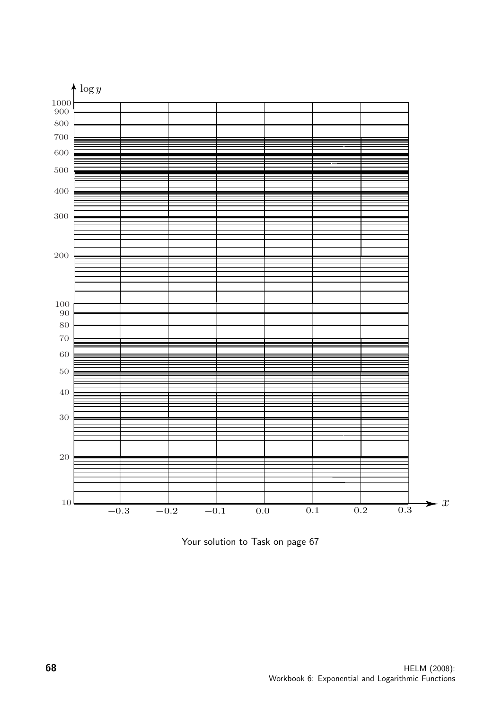

Your solution to Task on page 67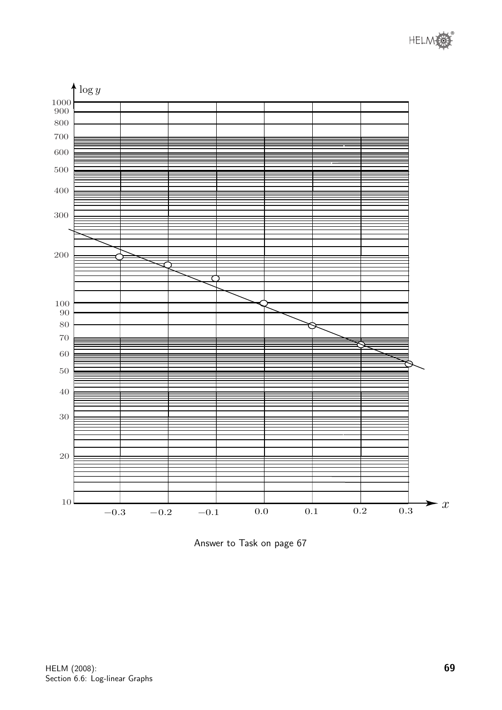



Answer to Task on page 67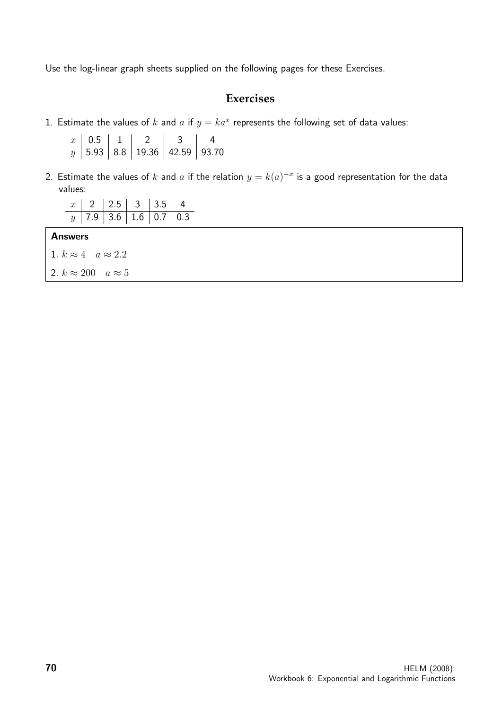Use the log-linear graph sheets supplied on the following pages for these Exercises.

# **Exercises**

1. Estimate the values of k and a if  $y = ka^x$  represents the following set of data values:

|  | $x \mid 0.5 \mid 1 \mid 2$               |  |
|--|------------------------------------------|--|
|  | $y$   5.93   8.8   19.36   42.59   93.70 |  |

2. Estimate the values of  $k$  and  $a$  if the relation  $y = k(a)^{-x}$  is a good representation for the data values:

|  |  | $x$   2   2.5   3   3.5   4 |                         |
|--|--|-----------------------------|-------------------------|
|  |  |                             | $y$ 7.9 3.6 1.6 0.7 0.3 |

#### Answers

|  | 1. $k \approx 4$ $a \approx 2.2$ |  |  |
|--|----------------------------------|--|--|
|  | 2. $k \approx 200$ $a \approx 5$ |  |  |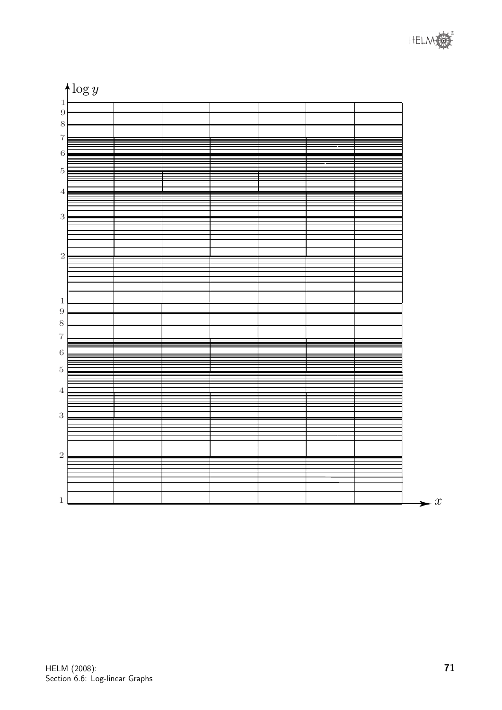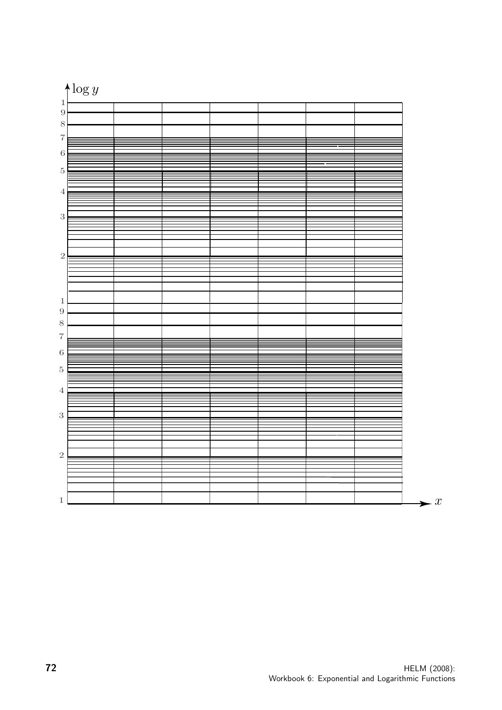